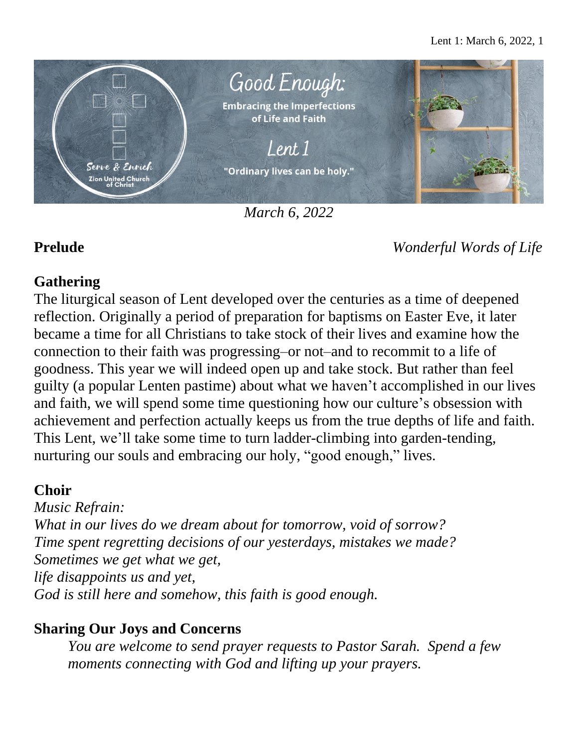

*March 6, 2022*

**Prelude** *Wonderful Words of Life*

# **Gathering**

The liturgical season of Lent developed over the centuries as a time of deepened reflection. Originally a period of preparation for baptisms on Easter Eve, it later became a time for all Christians to take stock of their lives and examine how the connection to their faith was progressing–or not–and to recommit to a life of goodness. This year we will indeed open up and take stock. But rather than feel guilty (a popular Lenten pastime) about what we haven't accomplished in our lives and faith, we will spend some time questioning how our culture's obsession with achievement and perfection actually keeps us from the true depths of life and faith. This Lent, we'll take some time to turn ladder-climbing into garden-tending, nurturing our souls and embracing our holy, "good enough," lives.

# **Choir**

*Music Refrain: What in our lives do we dream about for tomorrow, void of sorrow? Time spent regretting decisions of our yesterdays, mistakes we made? Sometimes we get what we get, life disappoints us and yet, God is still here and somehow, this faith is good enough.*

# **Sharing Our Joys and Concerns**

*You are welcome to send prayer requests to Pastor Sarah. Spend a few moments connecting with God and lifting up your prayers.*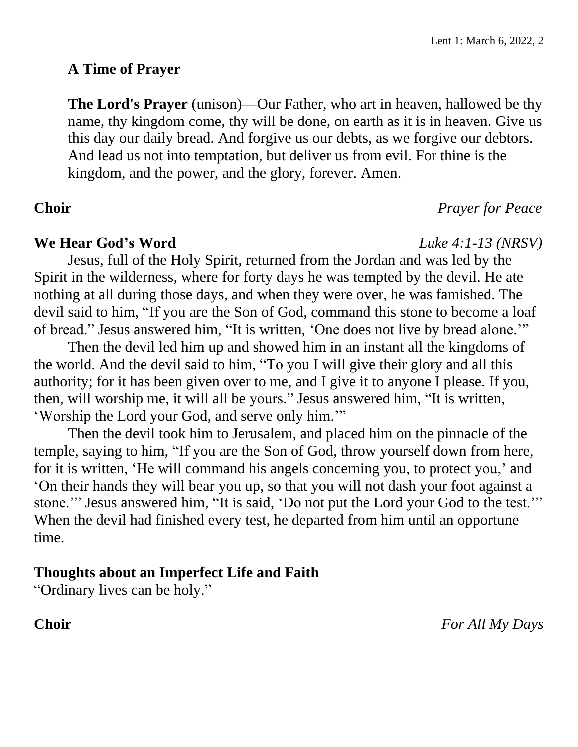## **A Time of Prayer**

**The Lord's Prayer** (unison)—Our Father, who art in heaven, hallowed be thy name, thy kingdom come, thy will be done, on earth as it is in heaven. Give us this day our daily bread. And forgive us our debts, as we forgive our debtors. And lead us not into temptation, but deliver us from evil. For thine is the kingdom, and the power, and the glory, forever. Amen.

# **Choir** *Prayer for Peace*

### **We Hear God's Word** *Luke 4:1-13 (NRSV)*

Jesus, full of the Holy Spirit, returned from the Jordan and was led by the Spirit in the wilderness, where for forty days he was tempted by the devil. He ate nothing at all during those days, and when they were over, he was famished. The devil said to him, "If you are the Son of God, command this stone to become a loaf of bread." Jesus answered him, "It is written, 'One does not live by bread alone.'"

Then the devil led him up and showed him in an instant all the kingdoms of the world. And the devil said to him, "To you I will give their glory and all this authority; for it has been given over to me, and I give it to anyone I please. If you, then, will worship me, it will all be yours." Jesus answered him, "It is written, 'Worship the Lord your God, and serve only him.'"

Then the devil took him to Jerusalem, and placed him on the pinnacle of the temple, saying to him, "If you are the Son of God, throw yourself down from here, for it is written, 'He will command his angels concerning you, to protect you,' and 'On their hands they will bear you up, so that you will not dash your foot against a stone.'" Jesus answered him, "It is said, 'Do not put the Lord your God to the test.'" When the devil had finished every test, he departed from him until an opportune time.

# **Thoughts about an Imperfect Life and Faith**

"Ordinary lives can be holy."

**Choir** *For All My Days*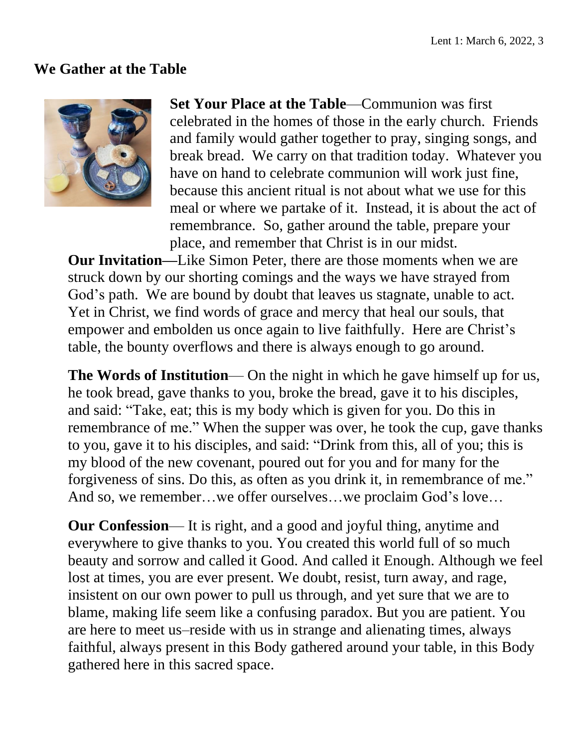### **We Gather at the Table**



**Set Your Place at the Table**—Communion was first celebrated in the homes of those in the early church. Friends and family would gather together to pray, singing songs, and break bread. We carry on that tradition today. Whatever you have on hand to celebrate communion will work just fine, because this ancient ritual is not about what we use for this meal or where we partake of it. Instead, it is about the act of remembrance. So, gather around the table, prepare your place, and remember that Christ is in our midst.

**Our Invitation—**Like Simon Peter, there are those moments when we are struck down by our shorting comings and the ways we have strayed from God's path. We are bound by doubt that leaves us stagnate, unable to act. Yet in Christ, we find words of grace and mercy that heal our souls, that empower and embolden us once again to live faithfully. Here are Christ's table, the bounty overflows and there is always enough to go around.

**The Words of Institution**— On the night in which he gave himself up for us, he took bread, gave thanks to you, broke the bread, gave it to his disciples, and said: "Take, eat; this is my body which is given for you. Do this in remembrance of me." When the supper was over, he took the cup, gave thanks to you, gave it to his disciples, and said: "Drink from this, all of you; this is my blood of the new covenant, poured out for you and for many for the forgiveness of sins. Do this, as often as you drink it, in remembrance of me." And so, we remember…we offer ourselves…we proclaim God's love…

**Our Confession**— It is right, and a good and joyful thing, anytime and everywhere to give thanks to you. You created this world full of so much beauty and sorrow and called it Good. And called it Enough. Although we feel lost at times, you are ever present. We doubt, resist, turn away, and rage, insistent on our own power to pull us through, and yet sure that we are to blame, making life seem like a confusing paradox. But you are patient. You are here to meet us–reside with us in strange and alienating times, always faithful, always present in this Body gathered around your table, in this Body gathered here in this sacred space.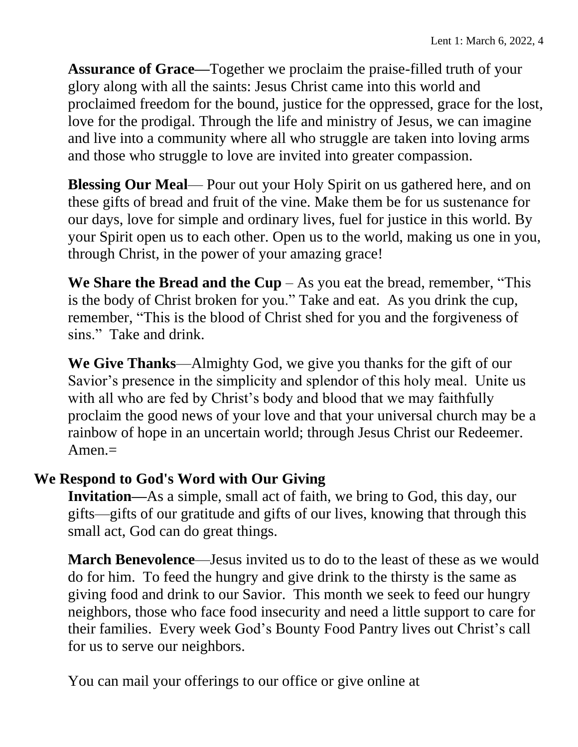**Assurance of Grace—**Together we proclaim the praise-filled truth of your glory along with all the saints: Jesus Christ came into this world and proclaimed freedom for the bound, justice for the oppressed, grace for the lost, love for the prodigal. Through the life and ministry of Jesus, we can imagine and live into a community where all who struggle are taken into loving arms and those who struggle to love are invited into greater compassion.

**Blessing Our Meal**— Pour out your Holy Spirit on us gathered here, and on these gifts of bread and fruit of the vine. Make them be for us sustenance for our days, love for simple and ordinary lives, fuel for justice in this world. By your Spirit open us to each other. Open us to the world, making us one in you, through Christ, in the power of your amazing grace!

**We Share the Bread and the Cup** – As you eat the bread, remember, "This is the body of Christ broken for you." Take and eat. As you drink the cup, remember, "This is the blood of Christ shed for you and the forgiveness of sins." Take and drink.

**We Give Thanks**—Almighty God, we give you thanks for the gift of our Savior's presence in the simplicity and splendor of this holy meal. Unite us with all who are fed by Christ's body and blood that we may faithfully proclaim the good news of your love and that your universal church may be a rainbow of hope in an uncertain world; through Jesus Christ our Redeemer.  $A$ men. $=$ 

# **We Respond to God's Word with Our Giving**

**Invitation—**As a simple, small act of faith, we bring to God, this day, our gifts—gifts of our gratitude and gifts of our lives, knowing that through this small act, God can do great things.

**March Benevolence**—Jesus invited us to do to the least of these as we would do for him. To feed the hungry and give drink to the thirsty is the same as giving food and drink to our Savior. This month we seek to feed our hungry neighbors, those who face food insecurity and need a little support to care for their families. Every week God's Bounty Food Pantry lives out Christ's call for us to serve our neighbors.

You can mail your offerings to our office or give online at